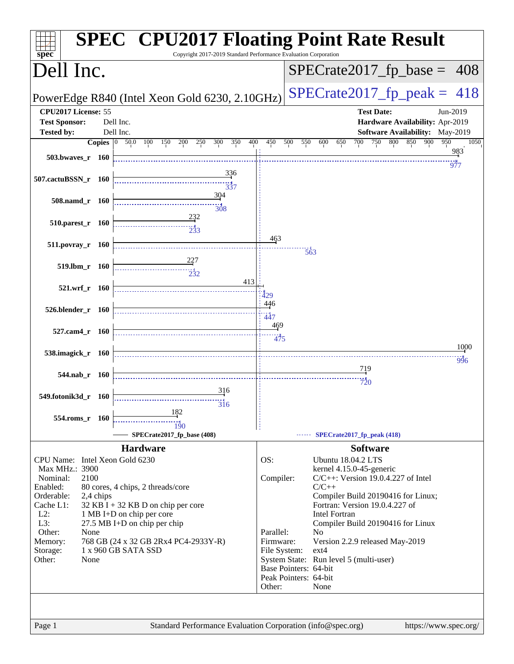| $spec^*$                                         |           |                                                                   |            |                                | <b>SPEC<sup>®</sup> CPU2017 Floating Point Rate Result</b><br>Copyright 2017-2019 Standard Performance Evaluation Corporation |                           |     |                                        |                            |                 |                   |     |                                       |     |                                                |
|--------------------------------------------------|-----------|-------------------------------------------------------------------|------------|--------------------------------|-------------------------------------------------------------------------------------------------------------------------------|---------------------------|-----|----------------------------------------|----------------------------|-----------------|-------------------|-----|---------------------------------------|-----|------------------------------------------------|
| Dell Inc.                                        |           |                                                                   |            |                                |                                                                                                                               |                           |     | $SPECrate2017_fp\_base =$              |                            |                 |                   |     |                                       |     | 408                                            |
| PowerEdge R840 (Intel Xeon Gold 6230, 2.10GHz)   |           |                                                                   |            |                                |                                                                                                                               |                           |     |                                        |                            |                 |                   |     |                                       |     | $SPECrate2017_fp\_peak = 418$                  |
| CPU2017 License: 55<br><b>Test Sponsor:</b>      |           | Dell Inc.                                                         |            |                                |                                                                                                                               |                           |     |                                        |                            |                 | <b>Test Date:</b> |     |                                       |     | Jun-2019<br>Hardware Availability: Apr-2019    |
| <b>Tested by:</b>                                |           | Dell Inc.                                                         |            | 200<br>250                     | 300<br>350                                                                                                                    | 400<br>450                | 500 | 550                                    |                            | 700             | 750               | 800 | 850                                   | 900 | Software Availability: May-2019<br>950<br>1050 |
|                                                  |           | <b>Copies</b> $\begin{bmatrix} 0 & 50.0 & 100 \end{bmatrix}$      | 150        |                                |                                                                                                                               |                           |     | 600                                    | 650                        |                 |                   |     |                                       |     | 983                                            |
| 503.bwaves_r 160                                 |           |                                                                   |            |                                | 336                                                                                                                           |                           |     |                                        |                            |                 |                   |     |                                       |     | 977                                            |
| 507.cactuBSSN_r 160                              |           |                                                                   |            |                                | 337                                                                                                                           |                           |     |                                        |                            |                 |                   |     |                                       |     |                                                |
| 508.namd_r 160                                   |           |                                                                   |            |                                | 304<br>308                                                                                                                    |                           |     |                                        |                            |                 |                   |     |                                       |     |                                                |
| 510.parest_r 160                                 |           |                                                                   |            | 232                            |                                                                                                                               |                           |     |                                        |                            |                 |                   |     |                                       |     |                                                |
| 511.povray_r 160                                 |           |                                                                   |            |                                |                                                                                                                               | 463                       |     | $\overline{563}$                       |                            |                 |                   |     |                                       |     |                                                |
| 519.lbm_r 160                                    |           |                                                                   |            | <u>22</u> 7<br>$\frac{1}{232}$ | 413                                                                                                                           |                           |     |                                        |                            |                 |                   |     |                                       |     |                                                |
| 521.wrf_r 160                                    |           |                                                                   |            |                                |                                                                                                                               | 429                       |     |                                        |                            |                 |                   |     |                                       |     |                                                |
| 526.blender_r 160                                |           |                                                                   |            |                                |                                                                                                                               | 446<br><br>447            |     |                                        |                            |                 |                   |     |                                       |     |                                                |
| 527.cam4_r 160                                   |           |                                                                   |            |                                |                                                                                                                               | <u>469</u><br>475         |     |                                        |                            |                 |                   |     |                                       |     |                                                |
| 538.imagick_r 160                                |           |                                                                   |            |                                |                                                                                                                               |                           |     |                                        |                            |                 |                   |     |                                       |     | 1000<br>996                                    |
| 544.nab_r 160                                    |           |                                                                   |            |                                |                                                                                                                               |                           |     |                                        |                            | <u>719</u>      |                   |     |                                       |     |                                                |
|                                                  |           |                                                                   |            |                                |                                                                                                                               |                           |     |                                        |                            | $\frac{1}{20}$  |                   |     |                                       |     |                                                |
| 549.fotonik3d_r 160                              |           |                                                                   |            |                                | 316<br>316                                                                                                                    |                           |     |                                        |                            |                 |                   |     |                                       |     |                                                |
| 554.roms r 160                                   |           |                                                                   | 182<br>190 |                                |                                                                                                                               |                           |     |                                        |                            |                 |                   |     |                                       |     |                                                |
|                                                  |           |                                                                   |            | SPECrate2017_fp_base (408)     |                                                                                                                               |                           |     |                                        | SPECrate2017_fp_peak (418) |                 |                   |     |                                       |     |                                                |
| CPU Name: Intel Xeon Gold 6230<br>Max MHz.: 3900 |           | <b>Hardware</b>                                                   |            |                                |                                                                                                                               | OS:                       |     | kernel 4.15.0-45-generic               | <b>Ubuntu 18.04.2 LTS</b>  | <b>Software</b> |                   |     |                                       |     |                                                |
| Nominal:<br>Enabled:<br>Orderable:               | 2100      | 80 cores, 4 chips, 2 threads/core                                 |            |                                |                                                                                                                               | Compiler:                 |     | $C/C++$                                |                            |                 |                   |     | $C/C++$ : Version 19.0.4.227 of Intel |     |                                                |
| Cache L1:<br>$L2$ :                              | 2,4 chips | $32$ KB I + 32 KB D on chip per core<br>1 MB I+D on chip per core |            |                                |                                                                                                                               |                           |     | Fortran: Version 19.0.4.227 of         | <b>Intel Fortran</b>       |                 |                   |     | Compiler Build 20190416 for Linux;    |     |                                                |
| L3:                                              |           | 27.5 MB I+D on chip per chip                                      |            |                                |                                                                                                                               |                           |     |                                        |                            |                 |                   |     | Compiler Build 20190416 for Linux     |     |                                                |
| Other:                                           | None      |                                                                   |            |                                |                                                                                                                               | Parallel:                 |     | N <sub>0</sub>                         |                            |                 |                   |     |                                       |     |                                                |
| Memory:<br>Storage:                              |           | 768 GB (24 x 32 GB 2Rx4 PC4-2933Y-R)<br>1 x 960 GB SATA SSD       |            |                                |                                                                                                                               | Firmware:<br>File System: |     | ext4                                   |                            |                 |                   |     | Version 2.2.9 released May-2019       |     |                                                |
| Other:                                           | None      |                                                                   |            |                                |                                                                                                                               |                           |     | System State: Run level 5 (multi-user) |                            |                 |                   |     |                                       |     |                                                |
|                                                  |           |                                                                   |            |                                |                                                                                                                               |                           |     | Base Pointers: 64-bit                  |                            |                 |                   |     |                                       |     |                                                |
|                                                  |           |                                                                   |            |                                |                                                                                                                               | Other:                    |     | Peak Pointers: 64-bit<br>None          |                            |                 |                   |     |                                       |     |                                                |
|                                                  |           |                                                                   |            |                                |                                                                                                                               |                           |     |                                        |                            |                 |                   |     |                                       |     |                                                |
|                                                  |           |                                                                   |            |                                |                                                                                                                               |                           |     |                                        |                            |                 |                   |     |                                       |     |                                                |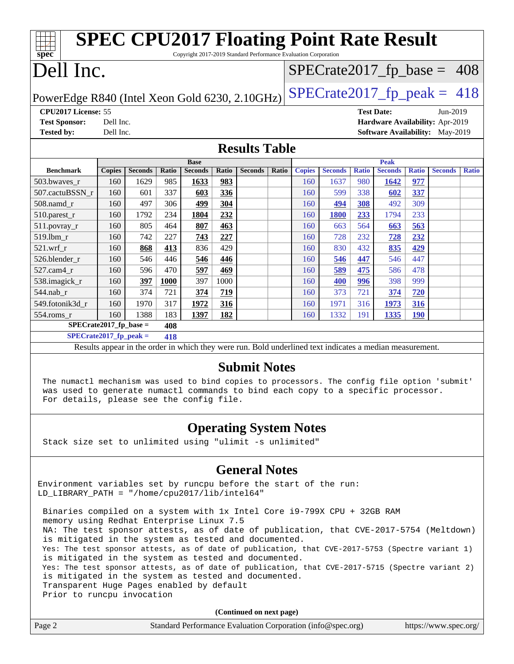| <b>SPEC CPU2017 Floating Point Rate Result</b>                                                           |                                  |                |       |                |       |                |       |               |                |              |                |              |                                        |              |
|----------------------------------------------------------------------------------------------------------|----------------------------------|----------------|-------|----------------|-------|----------------|-------|---------------|----------------|--------------|----------------|--------------|----------------------------------------|--------------|
| Copyright 2017-2019 Standard Performance Evaluation Corporation<br>spec                                  |                                  |                |       |                |       |                |       |               |                |              |                |              |                                        |              |
| Dell Inc.                                                                                                |                                  |                |       |                |       |                |       |               |                |              |                |              | $SPECrate2017_fp\_base = 408$          |              |
| $SPECrate2017_fp\_peak = 418$<br>PowerEdge R840 (Intel Xeon Gold 6230, 2.10GHz)                          |                                  |                |       |                |       |                |       |               |                |              |                |              |                                        |              |
| CPU2017 License: 55<br><b>Test Date:</b><br>Jun-2019                                                     |                                  |                |       |                |       |                |       |               |                |              |                |              |                                        |              |
| <b>Test Sponsor:</b>                                                                                     | Dell Inc.                        |                |       |                |       |                |       |               |                |              |                |              | Hardware Availability: Apr-2019        |              |
| <b>Tested by:</b>                                                                                        | Dell Inc.                        |                |       |                |       |                |       |               |                |              |                |              | <b>Software Availability:</b> May-2019 |              |
| <b>Results Table</b>                                                                                     |                                  |                |       |                |       |                |       |               |                |              |                |              |                                        |              |
| <b>Base</b>                                                                                              |                                  |                |       |                |       |                |       | <b>Peak</b>   |                |              |                |              |                                        |              |
| <b>Benchmark</b>                                                                                         | <b>Copies</b>                    | <b>Seconds</b> | Ratio | <b>Seconds</b> | Ratio | <b>Seconds</b> | Ratio | <b>Copies</b> | <b>Seconds</b> | <b>Ratio</b> | <b>Seconds</b> | <b>Ratio</b> | <b>Seconds</b>                         | <b>Ratio</b> |
| 503.bwaves_r                                                                                             | 160                              | 1629           | 985   | 1633           | 983   |                |       | 160           | 1637           | 980          | 1642           | 977          |                                        |              |
| 507.cactuBSSN r                                                                                          | 160                              | 601            | 337   | 603            | 336   |                |       | 160           | 599            | 338          | 602            | 337          |                                        |              |
| 508.namd_r                                                                                               | 160                              | 497            | 306   | 499            | 304   |                |       | 160           | 494            | 308          | 492            | 309          |                                        |              |
| 510.parest_r                                                                                             | 160                              | 1792           | 234   | 1804           | 232   |                |       | 160           | <b>1800</b>    | 233          | 1794           | 233          |                                        |              |
| 511.povray_r                                                                                             | 160                              | 805            | 464   | 807            | 463   |                |       | 160           | 663            | 564          | 663            | 563          |                                        |              |
| 519.1bm_r                                                                                                | 160                              | 742            | 227   | 743            | 227   |                |       | 160           | 728            | 232          | 728            | 232          |                                        |              |
| 521.wrf r                                                                                                | 160                              | 868            | 413   | 836            | 429   |                |       | 160           | 830            | 432          | 835            | 429          |                                        |              |
| 526.blender r                                                                                            | 160                              | 546            | 446   | 546            | 446   |                |       | 160           | 546            | 447          | 546            | 447          |                                        |              |
| 527.cam4 r                                                                                               | 160                              | 596            | 470   | 597            | 469   |                |       | 160           | 589            | 475          | 586            | 478          |                                        |              |
| 538.imagick_r                                                                                            | 160                              | 397            | 1000  | 397            | 1000  |                |       | 160           | 400            | 996          | 398            | 999          |                                        |              |
| 544.nab_r                                                                                                | 160                              | 374            | 721   | 374            | 719   |                |       | 160           | 373            | 721          | 374            | 720          |                                        |              |
| 549.fotonik3d r                                                                                          | 160                              | 1970           | 317   | 1972           | 316   |                |       | 160           | 1971           | 316          | 1973           | 316          |                                        |              |
| 554.roms r                                                                                               | 160                              | 1388           | 183   | 1397           | 182   |                |       | 160           | 1332           | 191          | 1335           | <b>190</b>   |                                        |              |
| $SPECrate2017_fp\_base =$                                                                                |                                  |                | 408   |                |       |                |       |               |                |              |                |              |                                        |              |
|                                                                                                          | $SPECrate2017_fp\_peak =$<br>418 |                |       |                |       |                |       |               |                |              |                |              |                                        |              |
| Results appear in the order in which they were run. Bold underlined text indicates a median measurement. |                                  |                |       |                |       |                |       |               |                |              |                |              |                                        |              |

#### **[Submit Notes](http://www.spec.org/auto/cpu2017/Docs/result-fields.html#SubmitNotes)**

 The numactl mechanism was used to bind copies to processors. The config file option 'submit' was used to generate numactl commands to bind each copy to a specific processor. For details, please see the config file.

#### **[Operating System Notes](http://www.spec.org/auto/cpu2017/Docs/result-fields.html#OperatingSystemNotes)**

Stack size set to unlimited using "ulimit -s unlimited"

#### **[General Notes](http://www.spec.org/auto/cpu2017/Docs/result-fields.html#GeneralNotes)**

Environment variables set by runcpu before the start of the run: LD\_LIBRARY\_PATH = "/home/cpu2017/lib/intel64"

 Binaries compiled on a system with 1x Intel Core i9-799X CPU + 32GB RAM memory using Redhat Enterprise Linux 7.5 NA: The test sponsor attests, as of date of publication, that CVE-2017-5754 (Meltdown) is mitigated in the system as tested and documented. Yes: The test sponsor attests, as of date of publication, that CVE-2017-5753 (Spectre variant 1) is mitigated in the system as tested and documented. Yes: The test sponsor attests, as of date of publication, that CVE-2017-5715 (Spectre variant 2) is mitigated in the system as tested and documented. Transparent Huge Pages enabled by default Prior to runcpu invocation

**(Continued on next page)**

| Page 2 | Standard Performance Evaluation Corporation (info@spec.org) | https://www.spec.org/ |
|--------|-------------------------------------------------------------|-----------------------|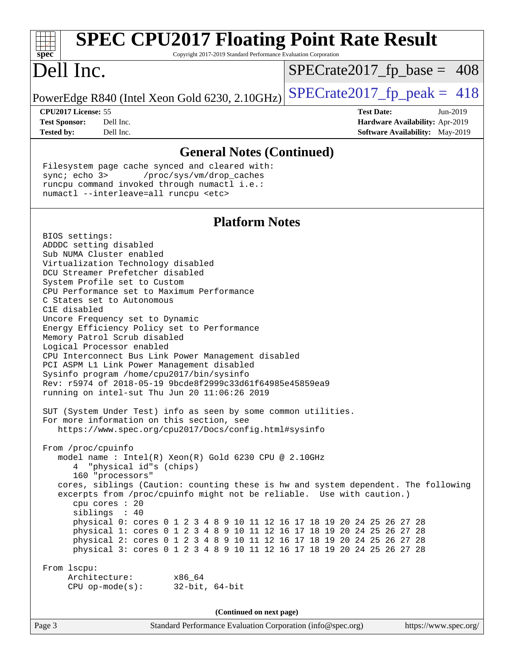| spec <sup>®</sup>          |           | Copyright 2017-2019 Standard Performance Evaluation Corporation | <b>SPEC CPU2017 Floating Point Rate Result</b> |
|----------------------------|-----------|-----------------------------------------------------------------|------------------------------------------------|
| Dell Inc.                  |           |                                                                 | $SPECrate2017_fp\_base = 408$                  |
|                            |           | PowerEdge R840 (Intel Xeon Gold 6230, 2.10GHz)                  | $SPECrate2017_fp\_peak = 418$                  |
| <b>CPU2017 License: 55</b> |           |                                                                 | <b>Test Date:</b><br>Jun-2019                  |
| <b>Test Sponsor:</b>       | Dell Inc. |                                                                 | Hardware Availability: Apr-2019                |
| <b>Tested by:</b>          | Dell Inc. |                                                                 | <b>Software Availability:</b> May-2019         |
|                            |           | <b>General Notes (Continued)</b>                                |                                                |

 Filesystem page cache synced and cleared with: sync; echo 3> /proc/sys/vm/drop\_caches runcpu command invoked through numactl i.e.: numactl --interleave=all runcpu <etc>

#### **[Platform Notes](http://www.spec.org/auto/cpu2017/Docs/result-fields.html#PlatformNotes)**

 BIOS settings: ADDDC setting disabled Sub NUMA Cluster enabled Virtualization Technology disabled DCU Streamer Prefetcher disabled System Profile set to Custom CPU Performance set to Maximum Performance C States set to Autonomous C1E disabled Uncore Frequency set to Dynamic Energy Efficiency Policy set to Performance Memory Patrol Scrub disabled Logical Processor enabled CPU Interconnect Bus Link Power Management disabled PCI ASPM L1 Link Power Management disabled Sysinfo program /home/cpu2017/bin/sysinfo Rev: r5974 of 2018-05-19 9bcde8f2999c33d61f64985e45859ea9 running on intel-sut Thu Jun 20 11:06:26 2019 SUT (System Under Test) info as seen by some common utilities. For more information on this section, see <https://www.spec.org/cpu2017/Docs/config.html#sysinfo> From /proc/cpuinfo model name : Intel(R) Xeon(R) Gold 6230 CPU @ 2.10GHz 4 "physical id"s (chips) 160 "processors" cores, siblings (Caution: counting these is hw and system dependent. The following excerpts from /proc/cpuinfo might not be reliable. Use with caution.) cpu cores : 20 siblings : 40 physical 0: cores 0 1 2 3 4 8 9 10 11 12 16 17 18 19 20 24 25 26 27 28 physical 1: cores 0 1 2 3 4 8 9 10 11 12 16 17 18 19 20 24 25 26 27 28 physical 2: cores 0 1 2 3 4 8 9 10 11 12 16 17 18 19 20 24 25 26 27 28 physical 3: cores 0 1 2 3 4 8 9 10 11 12 16 17 18 19 20 24 25 26 27 28 From lscpu: Architecture: x86\_64 CPU op-mode(s): 32-bit, 64-bit **(Continued on next page)**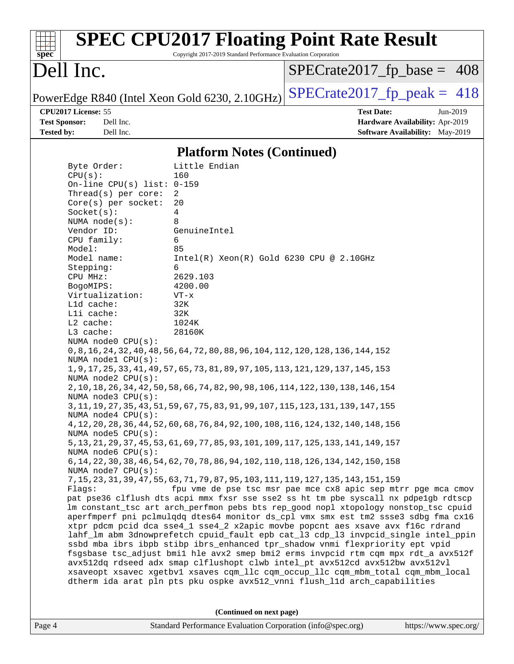| $spec^*$                                                                                                                                                                                                                                                                                                                                                                                                                                                                                                                    | Copyright 2017-2019 Standard Performance Evaluation Corporation                                                                                                                                                                                                                                                                                                                                                                                                                                                                                                                                                                                                                                                                                                                                                                                                                                                                                              | <b>SPEC CPU2017 Floating Point Rate Result</b>                                                                                                                                                                                                                                                                                                                                                                                                                                                                                                                                                                                                                                                                                                                                                                                                                                                                                  |
|-----------------------------------------------------------------------------------------------------------------------------------------------------------------------------------------------------------------------------------------------------------------------------------------------------------------------------------------------------------------------------------------------------------------------------------------------------------------------------------------------------------------------------|--------------------------------------------------------------------------------------------------------------------------------------------------------------------------------------------------------------------------------------------------------------------------------------------------------------------------------------------------------------------------------------------------------------------------------------------------------------------------------------------------------------------------------------------------------------------------------------------------------------------------------------------------------------------------------------------------------------------------------------------------------------------------------------------------------------------------------------------------------------------------------------------------------------------------------------------------------------|---------------------------------------------------------------------------------------------------------------------------------------------------------------------------------------------------------------------------------------------------------------------------------------------------------------------------------------------------------------------------------------------------------------------------------------------------------------------------------------------------------------------------------------------------------------------------------------------------------------------------------------------------------------------------------------------------------------------------------------------------------------------------------------------------------------------------------------------------------------------------------------------------------------------------------|
| Dell Inc.                                                                                                                                                                                                                                                                                                                                                                                                                                                                                                                   |                                                                                                                                                                                                                                                                                                                                                                                                                                                                                                                                                                                                                                                                                                                                                                                                                                                                                                                                                              | $SPECrate2017_fp\_base = 408$                                                                                                                                                                                                                                                                                                                                                                                                                                                                                                                                                                                                                                                                                                                                                                                                                                                                                                   |
|                                                                                                                                                                                                                                                                                                                                                                                                                                                                                                                             | PowerEdge R840 (Intel Xeon Gold 6230, 2.10GHz)                                                                                                                                                                                                                                                                                                                                                                                                                                                                                                                                                                                                                                                                                                                                                                                                                                                                                                               | $SPECTate2017$ _fp_peak = 418                                                                                                                                                                                                                                                                                                                                                                                                                                                                                                                                                                                                                                                                                                                                                                                                                                                                                                   |
| CPU2017 License: 55<br><b>Test Sponsor:</b><br>Dell Inc.<br><b>Tested by:</b><br>Dell Inc.                                                                                                                                                                                                                                                                                                                                                                                                                                  |                                                                                                                                                                                                                                                                                                                                                                                                                                                                                                                                                                                                                                                                                                                                                                                                                                                                                                                                                              | <b>Test Date:</b><br>Jun-2019<br>Hardware Availability: Apr-2019<br>Software Availability: May-2019                                                                                                                                                                                                                                                                                                                                                                                                                                                                                                                                                                                                                                                                                                                                                                                                                             |
|                                                                                                                                                                                                                                                                                                                                                                                                                                                                                                                             | <b>Platform Notes (Continued)</b>                                                                                                                                                                                                                                                                                                                                                                                                                                                                                                                                                                                                                                                                                                                                                                                                                                                                                                                            |                                                                                                                                                                                                                                                                                                                                                                                                                                                                                                                                                                                                                                                                                                                                                                                                                                                                                                                                 |
| Byte Order:<br>CPU(s):<br>On-line CPU(s) list: $0-159$<br>Thread(s) per core:<br>$Core(s)$ per socket:<br>Socket(s):<br>NUMA $node(s):$<br>Vendor ID:<br>CPU family:<br>Model:<br>Model name:<br>Stepping:<br>CPU MHz:<br>BogoMIPS:<br>Virtualization:<br>L1d cache:<br>Lli cache:<br>L2 cache:<br>L3 cache:<br>NUMA node0 CPU(s):<br>NUMA nodel CPU(s):<br>NUMA $node2$ $CPU(s)$ :<br>NUMA $node3$ CPU $(s)$ :<br>NUMA $node4$ CPU $(s)$ :<br>NUMA $node5$ $CPU(s):$<br>NUMA node6 CPU(s):<br>NUMA node7 CPU(s):<br>Flags: | Little Endian<br>160<br>2<br>20<br>4<br>8<br>GenuineIntel<br>6<br>85<br>$Intel(R)$ Xeon $(R)$ Gold 6230 CPU @ 2.10GHz<br>6<br>2629.103<br>4200.00<br>$VT - x$<br>32K<br>32K<br>1024K<br>28160K<br>0, 8, 16, 24, 32, 40, 48, 56, 64, 72, 80, 88, 96, 104, 112, 120, 128, 136, 144, 152<br>1, 9, 17, 25, 33, 41, 49, 57, 65, 73, 81, 89, 97, 105, 113, 121, 129, 137, 145, 153<br>2, 10, 18, 26, 34, 42, 50, 58, 66, 74, 82, 90, 98, 106, 114, 122, 130, 138, 146, 154<br>3, 11, 19, 27, 35, 43, 51, 59, 67, 75, 83, 91, 99, 107, 115, 123, 131, 139, 147, 155<br>4, 12, 20, 28, 36, 44, 52, 60, 68, 76, 84, 92, 100, 108, 116, 124, 132, 140, 148, 156<br>5, 13, 21, 29, 37, 45, 53, 61, 69, 77, 85, 93, 101, 109, 117, 125, 133, 141, 149, 157<br>6, 14, 22, 30, 38, 46, 54, 62, 70, 78, 86, 94, 102, 110, 118, 126, 134, 142, 150, 158<br>7, 15, 23, 31, 39, 47, 55, 63, 71, 79, 87, 95, 103, 111, 119, 127, 135, 143, 151, 159<br>(Continued on next page) | fpu vme de pse tsc msr pae mce cx8 apic sep mtrr pge mca cmov<br>pat pse36 clflush dts acpi mmx fxsr sse sse2 ss ht tm pbe syscall nx pdpe1gb rdtscp<br>Im constant tsc art arch perfmon pebs bts rep good nopl xtopology nonstop tsc cpuid<br>aperfmperf pni pclmulqdq dtes64 monitor ds_cpl vmx smx est tm2 ssse3 sdbg fma cx16<br>xtpr pdcm pcid dca sse4_1 sse4_2 x2apic movbe popcnt aes xsave avx f16c rdrand<br>lahf_lm abm 3dnowprefetch cpuid_fault epb cat_13 cdp_13 invpcid_single intel_ppin<br>ssbd mba ibrs ibpb stibp ibrs_enhanced tpr_shadow vnmi flexpriority ept vpid<br>fsgsbase tsc_adjust bmil hle avx2 smep bmi2 erms invpcid rtm cqm mpx rdt_a avx512f<br>avx512dq rdseed adx smap clflushopt clwb intel_pt avx512cd avx512bw avx512vl<br>xsaveopt xsavec xgetbvl xsaves cqm_llc cqm_occup_llc cqm_mbm_total cqm_mbm_local<br>dtherm ida arat pln pts pku ospke avx512_vnni flush_lld arch_capabilities |
|                                                                                                                                                                                                                                                                                                                                                                                                                                                                                                                             |                                                                                                                                                                                                                                                                                                                                                                                                                                                                                                                                                                                                                                                                                                                                                                                                                                                                                                                                                              |                                                                                                                                                                                                                                                                                                                                                                                                                                                                                                                                                                                                                                                                                                                                                                                                                                                                                                                                 |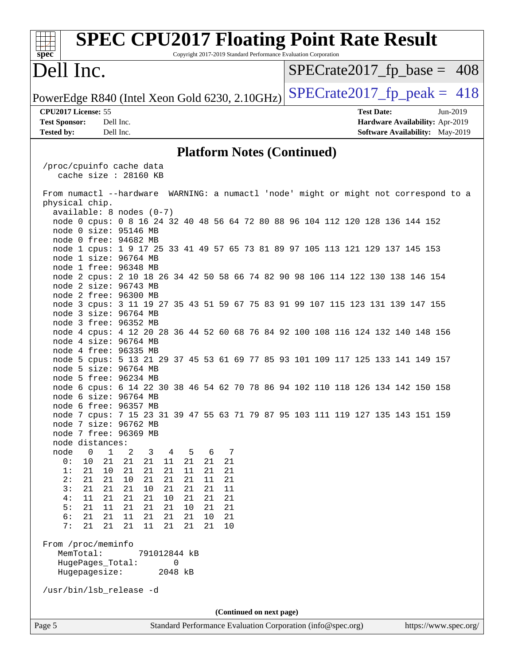| <b>SPEC CPU2017 Floating Point Rate Result</b><br>Copyright 2017-2019 Standard Performance Evaluation Corporation<br>spec                                                                         |  |  |  |  |  |  |  |
|---------------------------------------------------------------------------------------------------------------------------------------------------------------------------------------------------|--|--|--|--|--|--|--|
| Dell Inc.<br>$SPECrate2017_fp\_base = 408$                                                                                                                                                        |  |  |  |  |  |  |  |
| $SPECrate2017_fp\_peak = 418$<br>PowerEdge R840 (Intel Xeon Gold 6230, 2.10GHz)                                                                                                                   |  |  |  |  |  |  |  |
| CPU2017 License: 55<br><b>Test Date:</b><br>Jun-2019<br><b>Test Sponsor:</b><br>Dell Inc.<br>Hardware Availability: Apr-2019<br>Dell Inc.<br>Software Availability: May-2019<br><b>Tested by:</b> |  |  |  |  |  |  |  |
| <b>Platform Notes (Continued)</b>                                                                                                                                                                 |  |  |  |  |  |  |  |
| /proc/cpuinfo cache data<br>cache size : 28160 KB                                                                                                                                                 |  |  |  |  |  |  |  |
| From numactl --hardware WARNING: a numactl 'node' might or might not correspond to a<br>physical chip.                                                                                            |  |  |  |  |  |  |  |
| $available: 8 nodes (0-7)$<br>node 0 cpus: 0 8 16 24 32 40 48 56 64 72 80 88 96 104 112 120 128 136 144 152<br>node 0 size: 95146 MB<br>node 0 free: 94682 MB                                     |  |  |  |  |  |  |  |
| node 1 cpus: 1 9 17 25 33 41 49 57 65 73 81 89 97 105 113 121 129 137 145 153<br>node 1 size: 96764 MB<br>node 1 free: 96348 MB                                                                   |  |  |  |  |  |  |  |
| node 2 cpus: 2 10 18 26 34 42 50 58 66 74 82 90 98 106 114 122 130 138 146 154<br>node 2 size: 96743 MB<br>node 2 free: 96300 MB                                                                  |  |  |  |  |  |  |  |
| node 3 cpus: 3 11 19 27 35 43 51 59 67 75 83 91 99 107 115 123 131 139 147 155<br>node 3 size: 96764 MB<br>node 3 free: 96352 MB                                                                  |  |  |  |  |  |  |  |
| node 4 cpus: 4 12 20 28 36 44 52 60 68 76 84 92 100 108 116 124 132 140 148 156<br>node 4 size: 96764 MB<br>node 4 free: 96335 MB                                                                 |  |  |  |  |  |  |  |
| node 5 cpus: 5 13 21 29 37 45 53 61 69 77 85 93 101 109 117 125 133 141 149 157<br>node 5 size: 96764 MB<br>node 5 free: 96234 MB                                                                 |  |  |  |  |  |  |  |
| node 6 cpus: 6 14 22 30 38 46 54 62 70 78 86 94 102 110 118 126 134 142 150 158<br>node 6 size: 96764 MB<br>node 6 free: 96357 MB                                                                 |  |  |  |  |  |  |  |
| node 7 cpus: 7 15 23 31 39 47 55 63 71 79 87 95 103 111 119 127 135 143 151 159<br>node 7 size: 96762 MB<br>node 7 free: 96369 MB                                                                 |  |  |  |  |  |  |  |
| node distances:<br>$\mathbf 0$<br>$\mathbf{1}$<br>node<br>2<br>5<br>6<br>7<br>3<br>4<br>21<br>21<br>21<br>21<br>21<br>0:<br>10<br>21<br>11                                                        |  |  |  |  |  |  |  |
| 21<br>21<br>10<br>21<br>21<br>11<br>21<br>21<br>1:<br>2:<br>21<br>21<br>21<br>11<br>21<br>21<br>10<br>21<br>3:<br>21<br>21<br>21<br>21<br>11<br>21<br>10<br>21                                    |  |  |  |  |  |  |  |
| 21<br>21<br>21<br>10<br>21<br>21<br>4:<br>11<br>21<br>5:<br>11<br>21<br>21<br>21<br>21<br>10<br>21<br>21<br>6:<br>21<br>21<br>21<br>11<br>21<br>21<br>10<br>21                                    |  |  |  |  |  |  |  |
| 7:<br>21<br>21<br>21<br>21<br>21<br>11<br>21<br>10                                                                                                                                                |  |  |  |  |  |  |  |
| From /proc/meminfo<br>MemTotal:<br>791012844 kB<br>HugePages_Total:<br>0                                                                                                                          |  |  |  |  |  |  |  |
| Hugepagesize:<br>2048 kB                                                                                                                                                                          |  |  |  |  |  |  |  |
| /usr/bin/lsb_release -d                                                                                                                                                                           |  |  |  |  |  |  |  |
| (Continued on next page)<br>Standard Performance Evaluation Corporation (info@spec.org)<br>Page 5<br>https://www.spec.org/                                                                        |  |  |  |  |  |  |  |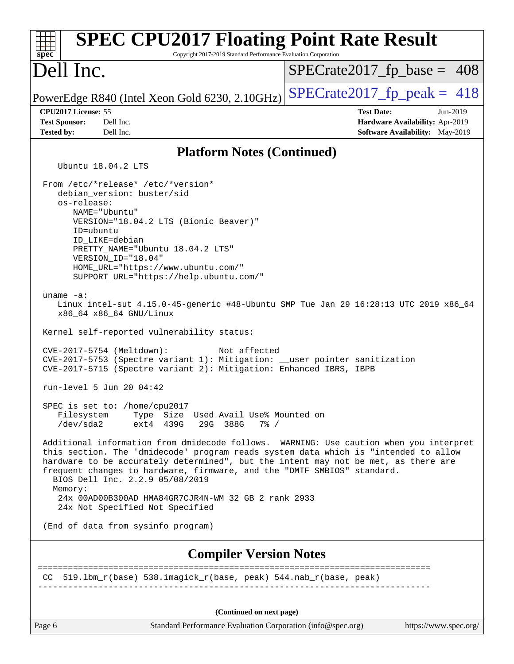| <b>SPEC CPU2017 Floating Point Rate Result</b><br>Copyright 2017-2019 Standard Performance Evaluation Corporation<br>$spec^*$                                                                                                                                                                                                                                                                                                                                                                       |                                                                                                     |
|-----------------------------------------------------------------------------------------------------------------------------------------------------------------------------------------------------------------------------------------------------------------------------------------------------------------------------------------------------------------------------------------------------------------------------------------------------------------------------------------------------|-----------------------------------------------------------------------------------------------------|
| Dell Inc.                                                                                                                                                                                                                                                                                                                                                                                                                                                                                           | $SPECrate2017_fp\_base = 408$                                                                       |
| PowerEdge R840 (Intel Xeon Gold 6230, 2.10GHz)                                                                                                                                                                                                                                                                                                                                                                                                                                                      | $SPECTate2017$ _fp_peak = 418                                                                       |
| CPU2017 License: 55<br><b>Test Sponsor:</b><br>Dell Inc.<br>Dell Inc.<br><b>Tested by:</b>                                                                                                                                                                                                                                                                                                                                                                                                          | <b>Test Date:</b><br>Jun-2019<br>Hardware Availability: Apr-2019<br>Software Availability: May-2019 |
| <b>Platform Notes (Continued)</b>                                                                                                                                                                                                                                                                                                                                                                                                                                                                   |                                                                                                     |
| Ubuntu 18.04.2 LTS                                                                                                                                                                                                                                                                                                                                                                                                                                                                                  |                                                                                                     |
| From /etc/*release* /etc/*version*<br>debian version: buster/sid<br>os-release:<br>NAME="Ubuntu"<br>VERSION="18.04.2 LTS (Bionic Beaver)"<br>ID=ubuntu<br>ID_LIKE=debian<br>PRETTY_NAME="Ubuntu 18.04.2 LTS"<br>VERSION ID="18.04"<br>HOME URL="https://www.ubuntu.com/"<br>SUPPORT_URL="https://help.ubuntu.com/"<br>uname $-a$ :<br>Linux intel-sut 4.15.0-45-generic #48-Ubuntu SMP Tue Jan 29 16:28:13 UTC 2019 x86_64<br>x86_64 x86_64 GNU/Linux<br>Kernel self-reported vulnerability status: |                                                                                                     |
| CVE-2017-5754 (Meltdown):<br>Not affected<br>CVE-2017-5753 (Spectre variant 1): Mitigation: __user pointer sanitization<br>CVE-2017-5715 (Spectre variant 2): Mitigation: Enhanced IBRS, IBPB                                                                                                                                                                                                                                                                                                       |                                                                                                     |
| run-level 5 Jun 20 04:42                                                                                                                                                                                                                                                                                                                                                                                                                                                                            |                                                                                                     |
| SPEC is set to: /home/cpu2017<br>Filesystem<br>Type Size Used Avail Use% Mounted on<br>/dev/sda2<br>ext4 439G<br>29G 388G<br>$7\%$ /                                                                                                                                                                                                                                                                                                                                                                |                                                                                                     |
| Additional information from dmidecode follows. WARNING: Use caution when you interpret<br>this section. The 'dmidecode' program reads system data which is "intended to allow<br>hardware to be accurately determined", but the intent may not be met, as there are<br>frequent changes to hardware, firmware, and the "DMTF SMBIOS" standard.<br>BIOS Dell Inc. 2.2.9 05/08/2019<br>Memory:<br>24x 00AD00B300AD HMA84GR7CJR4N-WM 32 GB 2 rank 2933<br>24x Not Specified Not Specified              |                                                                                                     |
| (End of data from sysinfo program)                                                                                                                                                                                                                                                                                                                                                                                                                                                                  |                                                                                                     |
| <b>Compiler Version Notes</b>                                                                                                                                                                                                                                                                                                                                                                                                                                                                       |                                                                                                     |
| CC 519.1bm_r(base) 538.imagick_r(base, peak) 544.nab_r(base, peak)                                                                                                                                                                                                                                                                                                                                                                                                                                  | =======================                                                                             |
| (Continued on next page)                                                                                                                                                                                                                                                                                                                                                                                                                                                                            |                                                                                                     |
| Page 6<br>Standard Performance Evaluation Corporation (info@spec.org)                                                                                                                                                                                                                                                                                                                                                                                                                               | https://www.spec.org/                                                                               |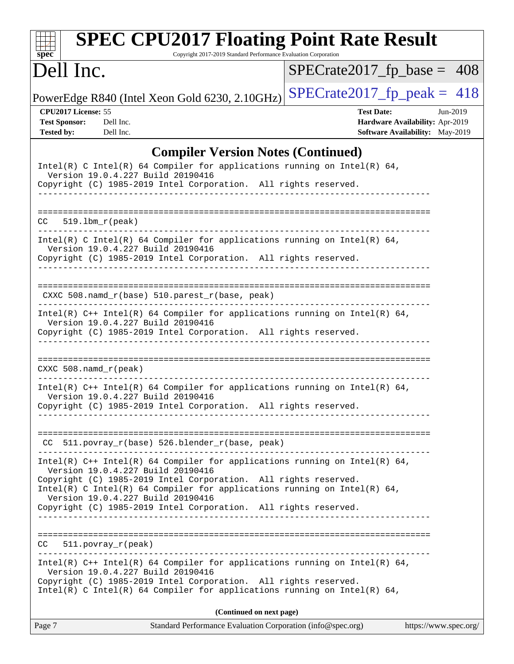| <b>SPEC CPU2017 Floating Point Rate Result</b><br>Copyright 2017-2019 Standard Performance Evaluation Corporation<br>$spec^*$                                                                                                                                                                                                                                                                                    |                                                                                                     |
|------------------------------------------------------------------------------------------------------------------------------------------------------------------------------------------------------------------------------------------------------------------------------------------------------------------------------------------------------------------------------------------------------------------|-----------------------------------------------------------------------------------------------------|
| Dell Inc.                                                                                                                                                                                                                                                                                                                                                                                                        | $SPECrate2017_fp\_base = 408$                                                                       |
| PowerEdge R840 (Intel Xeon Gold 6230, 2.10GHz)                                                                                                                                                                                                                                                                                                                                                                   | $SPECrate2017_fp\_peak = 418$                                                                       |
| CPU2017 License: 55<br><b>Test Sponsor:</b><br>Dell Inc.<br><b>Tested by:</b><br>Dell Inc.                                                                                                                                                                                                                                                                                                                       | <b>Test Date:</b><br>Jun-2019<br>Hardware Availability: Apr-2019<br>Software Availability: May-2019 |
| <b>Compiler Version Notes (Continued)</b><br>Intel(R) C Intel(R) 64 Compiler for applications running on Intel(R) 64,<br>Version 19.0.4.227 Build 20190416<br>Copyright (C) 1985-2019 Intel Corporation. All rights reserved.<br>___________                                                                                                                                                                     |                                                                                                     |
| 519.1bm r(peak)<br>CC.                                                                                                                                                                                                                                                                                                                                                                                           |                                                                                                     |
| Intel(R) C Intel(R) 64 Compiler for applications running on Intel(R) 64,<br>Version 19.0.4.227 Build 20190416<br>Copyright (C) 1985-2019 Intel Corporation. All rights reserved.                                                                                                                                                                                                                                 |                                                                                                     |
| CXXC 508.namd_r(base) 510.parest_r(base, peak)                                                                                                                                                                                                                                                                                                                                                                   |                                                                                                     |
| Intel(R) $C++$ Intel(R) 64 Compiler for applications running on Intel(R) 64,<br>Version 19.0.4.227 Build 20190416<br>Copyright (C) 1985-2019 Intel Corporation. All rights reserved.                                                                                                                                                                                                                             |                                                                                                     |
| CXXC $508$ . namd $r$ (peak)                                                                                                                                                                                                                                                                                                                                                                                     |                                                                                                     |
| Intel(R) $C++$ Intel(R) 64 Compiler for applications running on Intel(R) 64,<br>Version 19.0.4.227 Build 20190416<br>Copyright (C) 1985-2019 Intel Corporation. All rights reserved.                                                                                                                                                                                                                             |                                                                                                     |
| CC 511.povray_r(base) 526.blender_r(base, peak)                                                                                                                                                                                                                                                                                                                                                                  |                                                                                                     |
| Intel(R) $C++$ Intel(R) 64 Compiler for applications running on Intel(R) 64,<br>Version 19.0.4.227 Build 20190416<br>Copyright (C) 1985-2019 Intel Corporation. All rights reserved.<br>Intel(R) C Intel(R) 64 Compiler for applications running on Intel(R) 64,<br>Version 19.0.4.227 Build 20190416<br>Copyright (C) 1985-2019 Intel Corporation. All rights reserved.<br>____________________________________ |                                                                                                     |
| $511. povray_r (peak)$<br>CC                                                                                                                                                                                                                                                                                                                                                                                     |                                                                                                     |
| Intel(R) $C++$ Intel(R) 64 Compiler for applications running on Intel(R) 64,<br>Version 19.0.4.227 Build 20190416<br>Copyright (C) 1985-2019 Intel Corporation. All rights reserved.<br>Intel(R) C Intel(R) 64 Compiler for applications running on Intel(R) 64,                                                                                                                                                 |                                                                                                     |
| (Continued on next page)                                                                                                                                                                                                                                                                                                                                                                                         |                                                                                                     |
| Page 7<br>Standard Performance Evaluation Corporation (info@spec.org)                                                                                                                                                                                                                                                                                                                                            | https://www.spec.org/                                                                               |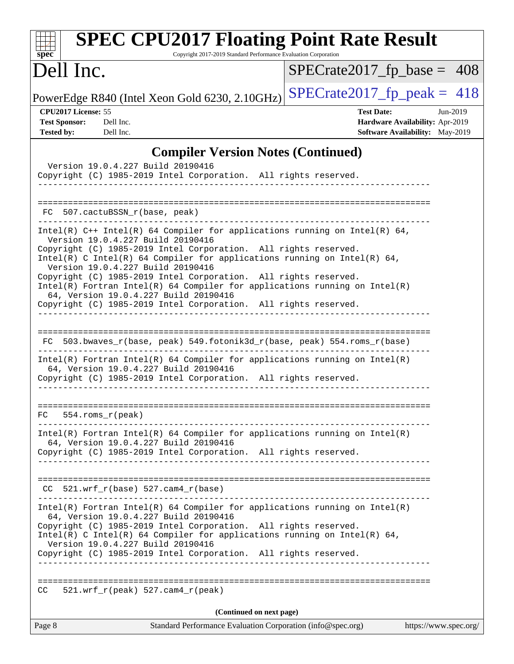| <b>SPEC CPU2017 Floating Point Rate Result</b><br>Copyright 2017-2019 Standard Performance Evaluation Corporation<br>$spec^*$                                                                                                                                                                                                                                                                                                                                                                                                                                        |                                                                                                       |
|----------------------------------------------------------------------------------------------------------------------------------------------------------------------------------------------------------------------------------------------------------------------------------------------------------------------------------------------------------------------------------------------------------------------------------------------------------------------------------------------------------------------------------------------------------------------|-------------------------------------------------------------------------------------------------------|
| Dell Inc.                                                                                                                                                                                                                                                                                                                                                                                                                                                                                                                                                            | $SPECrate2017_fp\_base = 408$                                                                         |
| PowerEdge R840 (Intel Xeon Gold 6230, 2.10GHz)                                                                                                                                                                                                                                                                                                                                                                                                                                                                                                                       | $SPECTate2017$ _fp_peak = 418                                                                         |
| CPU2017 License: 55<br><b>Test Sponsor:</b><br>Dell Inc.<br><b>Tested by:</b><br>Dell Inc.                                                                                                                                                                                                                                                                                                                                                                                                                                                                           | <b>Test Date:</b><br>$Jun-2019$<br>Hardware Availability: Apr-2019<br>Software Availability: May-2019 |
| <b>Compiler Version Notes (Continued)</b>                                                                                                                                                                                                                                                                                                                                                                                                                                                                                                                            |                                                                                                       |
| Version 19.0.4.227 Build 20190416<br>Copyright (C) 1985-2019 Intel Corporation. All rights reserved.                                                                                                                                                                                                                                                                                                                                                                                                                                                                 |                                                                                                       |
| FC 507.cactuBSSN_r(base, peak)                                                                                                                                                                                                                                                                                                                                                                                                                                                                                                                                       |                                                                                                       |
| Intel(R) $C++$ Intel(R) 64 Compiler for applications running on Intel(R) 64,<br>Version 19.0.4.227 Build 20190416<br>Copyright (C) 1985-2019 Intel Corporation. All rights reserved.<br>Intel(R) C Intel(R) 64 Compiler for applications running on Intel(R) 64,<br>Version 19.0.4.227 Build 20190416<br>Copyright (C) 1985-2019 Intel Corporation. All rights reserved.<br>$Intel(R)$ Fortran Intel(R) 64 Compiler for applications running on Intel(R)<br>64, Version 19.0.4.227 Build 20190416<br>Copyright (C) 1985-2019 Intel Corporation. All rights reserved. |                                                                                                       |
| 503.bwaves_r(base, peak) 549.fotonik3d_r(base, peak) 554.roms_r(base)<br>FC.<br>$Intel(R)$ Fortran Intel(R) 64 Compiler for applications running on Intel(R)<br>64, Version 19.0.4.227 Build 20190416<br>Copyright (C) 1985-2019 Intel Corporation. All rights reserved.                                                                                                                                                                                                                                                                                             |                                                                                                       |
| FC<br>$554.rows_r (peak)$                                                                                                                                                                                                                                                                                                                                                                                                                                                                                                                                            |                                                                                                       |
| $Intel(R)$ Fortran Intel(R) 64 Compiler for applications running on Intel(R)<br>64, Version 19.0.4.227 Build 20190416<br>Copyright (C) 1985-2019 Intel Corporation. All rights reserved.                                                                                                                                                                                                                                                                                                                                                                             |                                                                                                       |
| $CC$ 521.wrf_r(base) 527.cam4_r(base)                                                                                                                                                                                                                                                                                                                                                                                                                                                                                                                                | _____________________________________                                                                 |
| $Intel(R)$ Fortran Intel(R) 64 Compiler for applications running on Intel(R)<br>64, Version 19.0.4.227 Build 20190416<br>Copyright (C) 1985-2019 Intel Corporation. All rights reserved.<br>Intel(R) C Intel(R) 64 Compiler for applications running on Intel(R) 64,<br>Version 19.0.4.227 Build 20190416<br>Copyright (C) 1985-2019 Intel Corporation. All rights reserved.<br>____________________________________                                                                                                                                                 |                                                                                                       |
| $521.wrf_r(peak) 527.cam4_r(peak)$<br>CC.                                                                                                                                                                                                                                                                                                                                                                                                                                                                                                                            |                                                                                                       |
| (Continued on next page)                                                                                                                                                                                                                                                                                                                                                                                                                                                                                                                                             |                                                                                                       |
| Standard Performance Evaluation Corporation (info@spec.org)<br>Page 8                                                                                                                                                                                                                                                                                                                                                                                                                                                                                                | https://www.spec.org/                                                                                 |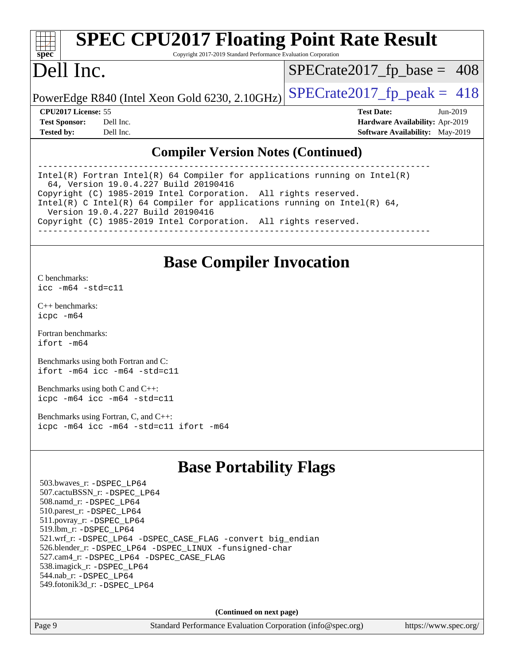# **[spec](http://www.spec.org/)**

# **[SPEC CPU2017 Floating Point Rate Result](http://www.spec.org/auto/cpu2017/Docs/result-fields.html#SPECCPU2017FloatingPointRateResult)**

Copyright 2017-2019 Standard Performance Evaluation Corporation

# Dell Inc.

 $SPECTate2017_fp\_base = 408$ 

PowerEdge R840 (Intel Xeon Gold 6230, 2.10GHz)  $\text{SPECrate}2017\_fp\_peak = 418$ 

**[CPU2017 License:](http://www.spec.org/auto/cpu2017/Docs/result-fields.html#CPU2017License)** 55 **[Test Date:](http://www.spec.org/auto/cpu2017/Docs/result-fields.html#TestDate)** Jun-2019 **[Test Sponsor:](http://www.spec.org/auto/cpu2017/Docs/result-fields.html#TestSponsor)** Dell Inc. **[Hardware Availability:](http://www.spec.org/auto/cpu2017/Docs/result-fields.html#HardwareAvailability)** Apr-2019 **[Tested by:](http://www.spec.org/auto/cpu2017/Docs/result-fields.html#Testedby)** Dell Inc. **[Software Availability:](http://www.spec.org/auto/cpu2017/Docs/result-fields.html#SoftwareAvailability)** May-2019

#### **[Compiler Version Notes \(Continued\)](http://www.spec.org/auto/cpu2017/Docs/result-fields.html#CompilerVersionNotes)**

------------------------------------------------------------------------------ Intel(R) Fortran Intel(R) 64 Compiler for applications running on Intel(R) 64, Version 19.0.4.227 Build 20190416 Copyright (C) 1985-2019 Intel Corporation. All rights reserved. Intel(R) C Intel(R) 64 Compiler for applications running on Intel(R) 64, Version 19.0.4.227 Build 20190416 Copyright (C) 1985-2019 Intel Corporation. All rights reserved. ------------------------------------------------------------------------------

## **[Base Compiler Invocation](http://www.spec.org/auto/cpu2017/Docs/result-fields.html#BaseCompilerInvocation)**

[C benchmarks](http://www.spec.org/auto/cpu2017/Docs/result-fields.html#Cbenchmarks): [icc -m64 -std=c11](http://www.spec.org/cpu2017/results/res2019q3/cpu2017-20190708-16002.flags.html#user_CCbase_intel_icc_64bit_c11_33ee0cdaae7deeeab2a9725423ba97205ce30f63b9926c2519791662299b76a0318f32ddfffdc46587804de3178b4f9328c46fa7c2b0cd779d7a61945c91cd35)

[C++ benchmarks:](http://www.spec.org/auto/cpu2017/Docs/result-fields.html#CXXbenchmarks) [icpc -m64](http://www.spec.org/cpu2017/results/res2019q3/cpu2017-20190708-16002.flags.html#user_CXXbase_intel_icpc_64bit_4ecb2543ae3f1412ef961e0650ca070fec7b7afdcd6ed48761b84423119d1bf6bdf5cad15b44d48e7256388bc77273b966e5eb805aefd121eb22e9299b2ec9d9)

[Fortran benchmarks](http://www.spec.org/auto/cpu2017/Docs/result-fields.html#Fortranbenchmarks): [ifort -m64](http://www.spec.org/cpu2017/results/res2019q3/cpu2017-20190708-16002.flags.html#user_FCbase_intel_ifort_64bit_24f2bb282fbaeffd6157abe4f878425411749daecae9a33200eee2bee2fe76f3b89351d69a8130dd5949958ce389cf37ff59a95e7a40d588e8d3a57e0c3fd751)

[Benchmarks using both Fortran and C](http://www.spec.org/auto/cpu2017/Docs/result-fields.html#BenchmarksusingbothFortranandC): [ifort -m64](http://www.spec.org/cpu2017/results/res2019q3/cpu2017-20190708-16002.flags.html#user_CC_FCbase_intel_ifort_64bit_24f2bb282fbaeffd6157abe4f878425411749daecae9a33200eee2bee2fe76f3b89351d69a8130dd5949958ce389cf37ff59a95e7a40d588e8d3a57e0c3fd751) [icc -m64 -std=c11](http://www.spec.org/cpu2017/results/res2019q3/cpu2017-20190708-16002.flags.html#user_CC_FCbase_intel_icc_64bit_c11_33ee0cdaae7deeeab2a9725423ba97205ce30f63b9926c2519791662299b76a0318f32ddfffdc46587804de3178b4f9328c46fa7c2b0cd779d7a61945c91cd35)

[Benchmarks using both C and C++](http://www.spec.org/auto/cpu2017/Docs/result-fields.html#BenchmarksusingbothCandCXX): [icpc -m64](http://www.spec.org/cpu2017/results/res2019q3/cpu2017-20190708-16002.flags.html#user_CC_CXXbase_intel_icpc_64bit_4ecb2543ae3f1412ef961e0650ca070fec7b7afdcd6ed48761b84423119d1bf6bdf5cad15b44d48e7256388bc77273b966e5eb805aefd121eb22e9299b2ec9d9) [icc -m64 -std=c11](http://www.spec.org/cpu2017/results/res2019q3/cpu2017-20190708-16002.flags.html#user_CC_CXXbase_intel_icc_64bit_c11_33ee0cdaae7deeeab2a9725423ba97205ce30f63b9926c2519791662299b76a0318f32ddfffdc46587804de3178b4f9328c46fa7c2b0cd779d7a61945c91cd35)

[Benchmarks using Fortran, C, and C++:](http://www.spec.org/auto/cpu2017/Docs/result-fields.html#BenchmarksusingFortranCandCXX) [icpc -m64](http://www.spec.org/cpu2017/results/res2019q3/cpu2017-20190708-16002.flags.html#user_CC_CXX_FCbase_intel_icpc_64bit_4ecb2543ae3f1412ef961e0650ca070fec7b7afdcd6ed48761b84423119d1bf6bdf5cad15b44d48e7256388bc77273b966e5eb805aefd121eb22e9299b2ec9d9) [icc -m64 -std=c11](http://www.spec.org/cpu2017/results/res2019q3/cpu2017-20190708-16002.flags.html#user_CC_CXX_FCbase_intel_icc_64bit_c11_33ee0cdaae7deeeab2a9725423ba97205ce30f63b9926c2519791662299b76a0318f32ddfffdc46587804de3178b4f9328c46fa7c2b0cd779d7a61945c91cd35) [ifort -m64](http://www.spec.org/cpu2017/results/res2019q3/cpu2017-20190708-16002.flags.html#user_CC_CXX_FCbase_intel_ifort_64bit_24f2bb282fbaeffd6157abe4f878425411749daecae9a33200eee2bee2fe76f3b89351d69a8130dd5949958ce389cf37ff59a95e7a40d588e8d3a57e0c3fd751)

## **[Base Portability Flags](http://www.spec.org/auto/cpu2017/Docs/result-fields.html#BasePortabilityFlags)**

 503.bwaves\_r: [-DSPEC\\_LP64](http://www.spec.org/cpu2017/results/res2019q3/cpu2017-20190708-16002.flags.html#suite_basePORTABILITY503_bwaves_r_DSPEC_LP64) 507.cactuBSSN\_r: [-DSPEC\\_LP64](http://www.spec.org/cpu2017/results/res2019q3/cpu2017-20190708-16002.flags.html#suite_basePORTABILITY507_cactuBSSN_r_DSPEC_LP64) 508.namd\_r: [-DSPEC\\_LP64](http://www.spec.org/cpu2017/results/res2019q3/cpu2017-20190708-16002.flags.html#suite_basePORTABILITY508_namd_r_DSPEC_LP64) 510.parest\_r: [-DSPEC\\_LP64](http://www.spec.org/cpu2017/results/res2019q3/cpu2017-20190708-16002.flags.html#suite_basePORTABILITY510_parest_r_DSPEC_LP64) 511.povray\_r: [-DSPEC\\_LP64](http://www.spec.org/cpu2017/results/res2019q3/cpu2017-20190708-16002.flags.html#suite_basePORTABILITY511_povray_r_DSPEC_LP64) 519.lbm\_r: [-DSPEC\\_LP64](http://www.spec.org/cpu2017/results/res2019q3/cpu2017-20190708-16002.flags.html#suite_basePORTABILITY519_lbm_r_DSPEC_LP64) 521.wrf\_r: [-DSPEC\\_LP64](http://www.spec.org/cpu2017/results/res2019q3/cpu2017-20190708-16002.flags.html#suite_basePORTABILITY521_wrf_r_DSPEC_LP64) [-DSPEC\\_CASE\\_FLAG](http://www.spec.org/cpu2017/results/res2019q3/cpu2017-20190708-16002.flags.html#b521.wrf_r_baseCPORTABILITY_DSPEC_CASE_FLAG) [-convert big\\_endian](http://www.spec.org/cpu2017/results/res2019q3/cpu2017-20190708-16002.flags.html#user_baseFPORTABILITY521_wrf_r_convert_big_endian_c3194028bc08c63ac5d04de18c48ce6d347e4e562e8892b8bdbdc0214820426deb8554edfa529a3fb25a586e65a3d812c835984020483e7e73212c4d31a38223) 526.blender\_r: [-DSPEC\\_LP64](http://www.spec.org/cpu2017/results/res2019q3/cpu2017-20190708-16002.flags.html#suite_basePORTABILITY526_blender_r_DSPEC_LP64) [-DSPEC\\_LINUX](http://www.spec.org/cpu2017/results/res2019q3/cpu2017-20190708-16002.flags.html#b526.blender_r_baseCPORTABILITY_DSPEC_LINUX) [-funsigned-char](http://www.spec.org/cpu2017/results/res2019q3/cpu2017-20190708-16002.flags.html#user_baseCPORTABILITY526_blender_r_force_uchar_40c60f00ab013830e2dd6774aeded3ff59883ba5a1fc5fc14077f794d777847726e2a5858cbc7672e36e1b067e7e5c1d9a74f7176df07886a243d7cc18edfe67) 527.cam4\_r: [-DSPEC\\_LP64](http://www.spec.org/cpu2017/results/res2019q3/cpu2017-20190708-16002.flags.html#suite_basePORTABILITY527_cam4_r_DSPEC_LP64) [-DSPEC\\_CASE\\_FLAG](http://www.spec.org/cpu2017/results/res2019q3/cpu2017-20190708-16002.flags.html#b527.cam4_r_baseCPORTABILITY_DSPEC_CASE_FLAG) 538.imagick\_r: [-DSPEC\\_LP64](http://www.spec.org/cpu2017/results/res2019q3/cpu2017-20190708-16002.flags.html#suite_basePORTABILITY538_imagick_r_DSPEC_LP64) 544.nab\_r: [-DSPEC\\_LP64](http://www.spec.org/cpu2017/results/res2019q3/cpu2017-20190708-16002.flags.html#suite_basePORTABILITY544_nab_r_DSPEC_LP64) 549.fotonik3d\_r: [-DSPEC\\_LP64](http://www.spec.org/cpu2017/results/res2019q3/cpu2017-20190708-16002.flags.html#suite_basePORTABILITY549_fotonik3d_r_DSPEC_LP64)

**(Continued on next page)**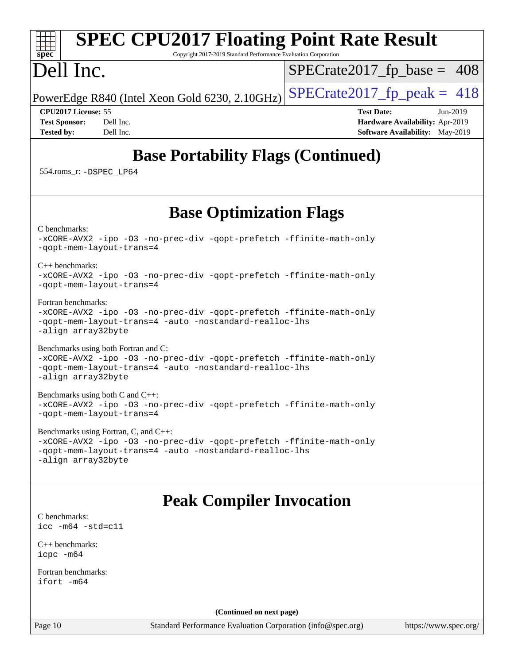#### **[spec](http://www.spec.org/) [SPEC CPU2017 Floating Point Rate Result](http://www.spec.org/auto/cpu2017/Docs/result-fields.html#SPECCPU2017FloatingPointRateResult)** Copyright 2017-2019 Standard Performance Evaluation Corporation Dell Inc. PowerEdge R840 (Intel Xeon Gold 6230, 2.10GHz)  $\text{SPECrate}2017\_fp\_peak = 418$  $SPECTate2017_fp\_base = 408$ **[CPU2017 License:](http://www.spec.org/auto/cpu2017/Docs/result-fields.html#CPU2017License)** 55 **[Test Date:](http://www.spec.org/auto/cpu2017/Docs/result-fields.html#TestDate)** Jun-2019 **[Test Sponsor:](http://www.spec.org/auto/cpu2017/Docs/result-fields.html#TestSponsor)** Dell Inc. **[Hardware Availability:](http://www.spec.org/auto/cpu2017/Docs/result-fields.html#HardwareAvailability)** Apr-2019 **[Tested by:](http://www.spec.org/auto/cpu2017/Docs/result-fields.html#Testedby)** Dell Inc. **[Software Availability:](http://www.spec.org/auto/cpu2017/Docs/result-fields.html#SoftwareAvailability)** May-2019 **[Base Portability Flags \(Continued\)](http://www.spec.org/auto/cpu2017/Docs/result-fields.html#BasePortabilityFlags)** 554.roms\_r: [-DSPEC\\_LP64](http://www.spec.org/cpu2017/results/res2019q3/cpu2017-20190708-16002.flags.html#suite_basePORTABILITY554_roms_r_DSPEC_LP64) **[Base Optimization Flags](http://www.spec.org/auto/cpu2017/Docs/result-fields.html#BaseOptimizationFlags)** [C benchmarks](http://www.spec.org/auto/cpu2017/Docs/result-fields.html#Cbenchmarks): [-xCORE-AVX2](http://www.spec.org/cpu2017/results/res2019q3/cpu2017-20190708-16002.flags.html#user_CCbase_f-xCORE-AVX2) [-ipo](http://www.spec.org/cpu2017/results/res2019q3/cpu2017-20190708-16002.flags.html#user_CCbase_f-ipo) [-O3](http://www.spec.org/cpu2017/results/res2019q3/cpu2017-20190708-16002.flags.html#user_CCbase_f-O3) [-no-prec-div](http://www.spec.org/cpu2017/results/res2019q3/cpu2017-20190708-16002.flags.html#user_CCbase_f-no-prec-div) [-qopt-prefetch](http://www.spec.org/cpu2017/results/res2019q3/cpu2017-20190708-16002.flags.html#user_CCbase_f-qopt-prefetch) [-ffinite-math-only](http://www.spec.org/cpu2017/results/res2019q3/cpu2017-20190708-16002.flags.html#user_CCbase_f_finite_math_only_cb91587bd2077682c4b38af759c288ed7c732db004271a9512da14a4f8007909a5f1427ecbf1a0fb78ff2a814402c6114ac565ca162485bbcae155b5e4258871) [-qopt-mem-layout-trans=4](http://www.spec.org/cpu2017/results/res2019q3/cpu2017-20190708-16002.flags.html#user_CCbase_f-qopt-mem-layout-trans_fa39e755916c150a61361b7846f310bcdf6f04e385ef281cadf3647acec3f0ae266d1a1d22d972a7087a248fd4e6ca390a3634700869573d231a252c784941a8) [C++ benchmarks:](http://www.spec.org/auto/cpu2017/Docs/result-fields.html#CXXbenchmarks) [-xCORE-AVX2](http://www.spec.org/cpu2017/results/res2019q3/cpu2017-20190708-16002.flags.html#user_CXXbase_f-xCORE-AVX2) [-ipo](http://www.spec.org/cpu2017/results/res2019q3/cpu2017-20190708-16002.flags.html#user_CXXbase_f-ipo) [-O3](http://www.spec.org/cpu2017/results/res2019q3/cpu2017-20190708-16002.flags.html#user_CXXbase_f-O3) [-no-prec-div](http://www.spec.org/cpu2017/results/res2019q3/cpu2017-20190708-16002.flags.html#user_CXXbase_f-no-prec-div) [-qopt-prefetch](http://www.spec.org/cpu2017/results/res2019q3/cpu2017-20190708-16002.flags.html#user_CXXbase_f-qopt-prefetch) [-ffinite-math-only](http://www.spec.org/cpu2017/results/res2019q3/cpu2017-20190708-16002.flags.html#user_CXXbase_f_finite_math_only_cb91587bd2077682c4b38af759c288ed7c732db004271a9512da14a4f8007909a5f1427ecbf1a0fb78ff2a814402c6114ac565ca162485bbcae155b5e4258871) [-qopt-mem-layout-trans=4](http://www.spec.org/cpu2017/results/res2019q3/cpu2017-20190708-16002.flags.html#user_CXXbase_f-qopt-mem-layout-trans_fa39e755916c150a61361b7846f310bcdf6f04e385ef281cadf3647acec3f0ae266d1a1d22d972a7087a248fd4e6ca390a3634700869573d231a252c784941a8) [Fortran benchmarks](http://www.spec.org/auto/cpu2017/Docs/result-fields.html#Fortranbenchmarks): [-xCORE-AVX2](http://www.spec.org/cpu2017/results/res2019q3/cpu2017-20190708-16002.flags.html#user_FCbase_f-xCORE-AVX2) [-ipo](http://www.spec.org/cpu2017/results/res2019q3/cpu2017-20190708-16002.flags.html#user_FCbase_f-ipo) [-O3](http://www.spec.org/cpu2017/results/res2019q3/cpu2017-20190708-16002.flags.html#user_FCbase_f-O3) [-no-prec-div](http://www.spec.org/cpu2017/results/res2019q3/cpu2017-20190708-16002.flags.html#user_FCbase_f-no-prec-div) [-qopt-prefetch](http://www.spec.org/cpu2017/results/res2019q3/cpu2017-20190708-16002.flags.html#user_FCbase_f-qopt-prefetch) [-ffinite-math-only](http://www.spec.org/cpu2017/results/res2019q3/cpu2017-20190708-16002.flags.html#user_FCbase_f_finite_math_only_cb91587bd2077682c4b38af759c288ed7c732db004271a9512da14a4f8007909a5f1427ecbf1a0fb78ff2a814402c6114ac565ca162485bbcae155b5e4258871) [-qopt-mem-layout-trans=4](http://www.spec.org/cpu2017/results/res2019q3/cpu2017-20190708-16002.flags.html#user_FCbase_f-qopt-mem-layout-trans_fa39e755916c150a61361b7846f310bcdf6f04e385ef281cadf3647acec3f0ae266d1a1d22d972a7087a248fd4e6ca390a3634700869573d231a252c784941a8) [-auto](http://www.spec.org/cpu2017/results/res2019q3/cpu2017-20190708-16002.flags.html#user_FCbase_f-auto) [-nostandard-realloc-lhs](http://www.spec.org/cpu2017/results/res2019q3/cpu2017-20190708-16002.flags.html#user_FCbase_f_2003_std_realloc_82b4557e90729c0f113870c07e44d33d6f5a304b4f63d4c15d2d0f1fab99f5daaed73bdb9275d9ae411527f28b936061aa8b9c8f2d63842963b95c9dd6426b8a) [-align array32byte](http://www.spec.org/cpu2017/results/res2019q3/cpu2017-20190708-16002.flags.html#user_FCbase_align_array32byte_b982fe038af199962ba9a80c053b8342c548c85b40b8e86eb3cc33dee0d7986a4af373ac2d51c3f7cf710a18d62fdce2948f201cd044323541f22fc0fffc51b6) [Benchmarks using both Fortran and C](http://www.spec.org/auto/cpu2017/Docs/result-fields.html#BenchmarksusingbothFortranandC): [-xCORE-AVX2](http://www.spec.org/cpu2017/results/res2019q3/cpu2017-20190708-16002.flags.html#user_CC_FCbase_f-xCORE-AVX2) [-ipo](http://www.spec.org/cpu2017/results/res2019q3/cpu2017-20190708-16002.flags.html#user_CC_FCbase_f-ipo) [-O3](http://www.spec.org/cpu2017/results/res2019q3/cpu2017-20190708-16002.flags.html#user_CC_FCbase_f-O3) [-no-prec-div](http://www.spec.org/cpu2017/results/res2019q3/cpu2017-20190708-16002.flags.html#user_CC_FCbase_f-no-prec-div) [-qopt-prefetch](http://www.spec.org/cpu2017/results/res2019q3/cpu2017-20190708-16002.flags.html#user_CC_FCbase_f-qopt-prefetch) [-ffinite-math-only](http://www.spec.org/cpu2017/results/res2019q3/cpu2017-20190708-16002.flags.html#user_CC_FCbase_f_finite_math_only_cb91587bd2077682c4b38af759c288ed7c732db004271a9512da14a4f8007909a5f1427ecbf1a0fb78ff2a814402c6114ac565ca162485bbcae155b5e4258871) [-qopt-mem-layout-trans=4](http://www.spec.org/cpu2017/results/res2019q3/cpu2017-20190708-16002.flags.html#user_CC_FCbase_f-qopt-mem-layout-trans_fa39e755916c150a61361b7846f310bcdf6f04e385ef281cadf3647acec3f0ae266d1a1d22d972a7087a248fd4e6ca390a3634700869573d231a252c784941a8) [-auto](http://www.spec.org/cpu2017/results/res2019q3/cpu2017-20190708-16002.flags.html#user_CC_FCbase_f-auto) [-nostandard-realloc-lhs](http://www.spec.org/cpu2017/results/res2019q3/cpu2017-20190708-16002.flags.html#user_CC_FCbase_f_2003_std_realloc_82b4557e90729c0f113870c07e44d33d6f5a304b4f63d4c15d2d0f1fab99f5daaed73bdb9275d9ae411527f28b936061aa8b9c8f2d63842963b95c9dd6426b8a) [-align array32byte](http://www.spec.org/cpu2017/results/res2019q3/cpu2017-20190708-16002.flags.html#user_CC_FCbase_align_array32byte_b982fe038af199962ba9a80c053b8342c548c85b40b8e86eb3cc33dee0d7986a4af373ac2d51c3f7cf710a18d62fdce2948f201cd044323541f22fc0fffc51b6) [Benchmarks using both C and C++](http://www.spec.org/auto/cpu2017/Docs/result-fields.html#BenchmarksusingbothCandCXX): [-xCORE-AVX2](http://www.spec.org/cpu2017/results/res2019q3/cpu2017-20190708-16002.flags.html#user_CC_CXXbase_f-xCORE-AVX2) [-ipo](http://www.spec.org/cpu2017/results/res2019q3/cpu2017-20190708-16002.flags.html#user_CC_CXXbase_f-ipo) [-O3](http://www.spec.org/cpu2017/results/res2019q3/cpu2017-20190708-16002.flags.html#user_CC_CXXbase_f-O3) [-no-prec-div](http://www.spec.org/cpu2017/results/res2019q3/cpu2017-20190708-16002.flags.html#user_CC_CXXbase_f-no-prec-div) [-qopt-prefetch](http://www.spec.org/cpu2017/results/res2019q3/cpu2017-20190708-16002.flags.html#user_CC_CXXbase_f-qopt-prefetch) [-ffinite-math-only](http://www.spec.org/cpu2017/results/res2019q3/cpu2017-20190708-16002.flags.html#user_CC_CXXbase_f_finite_math_only_cb91587bd2077682c4b38af759c288ed7c732db004271a9512da14a4f8007909a5f1427ecbf1a0fb78ff2a814402c6114ac565ca162485bbcae155b5e4258871) [-qopt-mem-layout-trans=4](http://www.spec.org/cpu2017/results/res2019q3/cpu2017-20190708-16002.flags.html#user_CC_CXXbase_f-qopt-mem-layout-trans_fa39e755916c150a61361b7846f310bcdf6f04e385ef281cadf3647acec3f0ae266d1a1d22d972a7087a248fd4e6ca390a3634700869573d231a252c784941a8) [Benchmarks using Fortran, C, and C++:](http://www.spec.org/auto/cpu2017/Docs/result-fields.html#BenchmarksusingFortranCandCXX) [-xCORE-AVX2](http://www.spec.org/cpu2017/results/res2019q3/cpu2017-20190708-16002.flags.html#user_CC_CXX_FCbase_f-xCORE-AVX2) [-ipo](http://www.spec.org/cpu2017/results/res2019q3/cpu2017-20190708-16002.flags.html#user_CC_CXX_FCbase_f-ipo) [-O3](http://www.spec.org/cpu2017/results/res2019q3/cpu2017-20190708-16002.flags.html#user_CC_CXX_FCbase_f-O3) [-no-prec-div](http://www.spec.org/cpu2017/results/res2019q3/cpu2017-20190708-16002.flags.html#user_CC_CXX_FCbase_f-no-prec-div) [-qopt-prefetch](http://www.spec.org/cpu2017/results/res2019q3/cpu2017-20190708-16002.flags.html#user_CC_CXX_FCbase_f-qopt-prefetch) [-ffinite-math-only](http://www.spec.org/cpu2017/results/res2019q3/cpu2017-20190708-16002.flags.html#user_CC_CXX_FCbase_f_finite_math_only_cb91587bd2077682c4b38af759c288ed7c732db004271a9512da14a4f8007909a5f1427ecbf1a0fb78ff2a814402c6114ac565ca162485bbcae155b5e4258871) [-qopt-mem-layout-trans=4](http://www.spec.org/cpu2017/results/res2019q3/cpu2017-20190708-16002.flags.html#user_CC_CXX_FCbase_f-qopt-mem-layout-trans_fa39e755916c150a61361b7846f310bcdf6f04e385ef281cadf3647acec3f0ae266d1a1d22d972a7087a248fd4e6ca390a3634700869573d231a252c784941a8) [-auto](http://www.spec.org/cpu2017/results/res2019q3/cpu2017-20190708-16002.flags.html#user_CC_CXX_FCbase_f-auto) [-nostandard-realloc-lhs](http://www.spec.org/cpu2017/results/res2019q3/cpu2017-20190708-16002.flags.html#user_CC_CXX_FCbase_f_2003_std_realloc_82b4557e90729c0f113870c07e44d33d6f5a304b4f63d4c15d2d0f1fab99f5daaed73bdb9275d9ae411527f28b936061aa8b9c8f2d63842963b95c9dd6426b8a) [-align array32byte](http://www.spec.org/cpu2017/results/res2019q3/cpu2017-20190708-16002.flags.html#user_CC_CXX_FCbase_align_array32byte_b982fe038af199962ba9a80c053b8342c548c85b40b8e86eb3cc33dee0d7986a4af373ac2d51c3f7cf710a18d62fdce2948f201cd044323541f22fc0fffc51b6) **[Peak Compiler Invocation](http://www.spec.org/auto/cpu2017/Docs/result-fields.html#PeakCompilerInvocation)** [C benchmarks](http://www.spec.org/auto/cpu2017/Docs/result-fields.html#Cbenchmarks): [icc -m64 -std=c11](http://www.spec.org/cpu2017/results/res2019q3/cpu2017-20190708-16002.flags.html#user_CCpeak_intel_icc_64bit_c11_33ee0cdaae7deeeab2a9725423ba97205ce30f63b9926c2519791662299b76a0318f32ddfffdc46587804de3178b4f9328c46fa7c2b0cd779d7a61945c91cd35) [C++ benchmarks:](http://www.spec.org/auto/cpu2017/Docs/result-fields.html#CXXbenchmarks) [icpc -m64](http://www.spec.org/cpu2017/results/res2019q3/cpu2017-20190708-16002.flags.html#user_CXXpeak_intel_icpc_64bit_4ecb2543ae3f1412ef961e0650ca070fec7b7afdcd6ed48761b84423119d1bf6bdf5cad15b44d48e7256388bc77273b966e5eb805aefd121eb22e9299b2ec9d9) [Fortran benchmarks](http://www.spec.org/auto/cpu2017/Docs/result-fields.html#Fortranbenchmarks): [ifort -m64](http://www.spec.org/cpu2017/results/res2019q3/cpu2017-20190708-16002.flags.html#user_FCpeak_intel_ifort_64bit_24f2bb282fbaeffd6157abe4f878425411749daecae9a33200eee2bee2fe76f3b89351d69a8130dd5949958ce389cf37ff59a95e7a40d588e8d3a57e0c3fd751)

**(Continued on next page)**

Page 10 Standard Performance Evaluation Corporation [\(info@spec.org\)](mailto:info@spec.org) <https://www.spec.org/>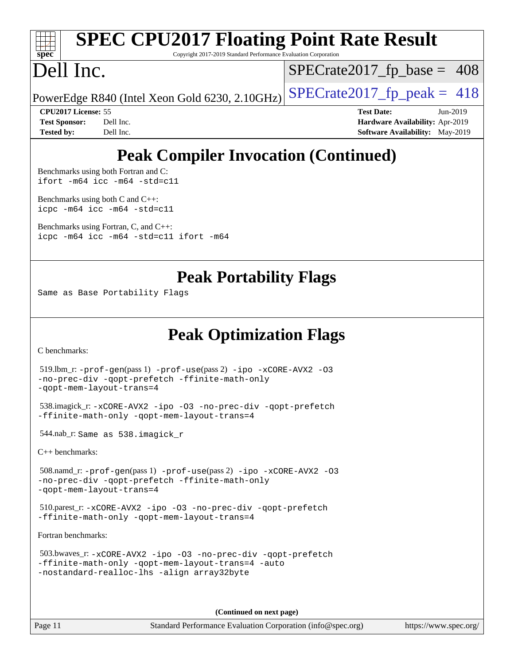# **[spec](http://www.spec.org/)**

# **[SPEC CPU2017 Floating Point Rate Result](http://www.spec.org/auto/cpu2017/Docs/result-fields.html#SPECCPU2017FloatingPointRateResult)**

Copyright 2017-2019 Standard Performance Evaluation Corporation

# Dell Inc.

 $SPECTate2017_fp\_base = 408$ 

PowerEdge R840 (Intel Xeon Gold 6230, 2.10GHz)  $\text{SPECrate}2017\_fp\_peak = 418$ 

**[CPU2017 License:](http://www.spec.org/auto/cpu2017/Docs/result-fields.html#CPU2017License)** 55 **[Test Date:](http://www.spec.org/auto/cpu2017/Docs/result-fields.html#TestDate)** Jun-2019 **[Test Sponsor:](http://www.spec.org/auto/cpu2017/Docs/result-fields.html#TestSponsor)** Dell Inc. **[Hardware Availability:](http://www.spec.org/auto/cpu2017/Docs/result-fields.html#HardwareAvailability)** Apr-2019 **[Tested by:](http://www.spec.org/auto/cpu2017/Docs/result-fields.html#Testedby)** Dell Inc. Dell Inc. **[Software Availability:](http://www.spec.org/auto/cpu2017/Docs/result-fields.html#SoftwareAvailability)** May-2019

# **[Peak Compiler Invocation \(Continued\)](http://www.spec.org/auto/cpu2017/Docs/result-fields.html#PeakCompilerInvocation)**

[Benchmarks using both Fortran and C](http://www.spec.org/auto/cpu2017/Docs/result-fields.html#BenchmarksusingbothFortranandC): [ifort -m64](http://www.spec.org/cpu2017/results/res2019q3/cpu2017-20190708-16002.flags.html#user_CC_FCpeak_intel_ifort_64bit_24f2bb282fbaeffd6157abe4f878425411749daecae9a33200eee2bee2fe76f3b89351d69a8130dd5949958ce389cf37ff59a95e7a40d588e8d3a57e0c3fd751) [icc -m64 -std=c11](http://www.spec.org/cpu2017/results/res2019q3/cpu2017-20190708-16002.flags.html#user_CC_FCpeak_intel_icc_64bit_c11_33ee0cdaae7deeeab2a9725423ba97205ce30f63b9926c2519791662299b76a0318f32ddfffdc46587804de3178b4f9328c46fa7c2b0cd779d7a61945c91cd35)

[Benchmarks using both C and C++](http://www.spec.org/auto/cpu2017/Docs/result-fields.html#BenchmarksusingbothCandCXX): [icpc -m64](http://www.spec.org/cpu2017/results/res2019q3/cpu2017-20190708-16002.flags.html#user_CC_CXXpeak_intel_icpc_64bit_4ecb2543ae3f1412ef961e0650ca070fec7b7afdcd6ed48761b84423119d1bf6bdf5cad15b44d48e7256388bc77273b966e5eb805aefd121eb22e9299b2ec9d9) [icc -m64 -std=c11](http://www.spec.org/cpu2017/results/res2019q3/cpu2017-20190708-16002.flags.html#user_CC_CXXpeak_intel_icc_64bit_c11_33ee0cdaae7deeeab2a9725423ba97205ce30f63b9926c2519791662299b76a0318f32ddfffdc46587804de3178b4f9328c46fa7c2b0cd779d7a61945c91cd35)

[Benchmarks using Fortran, C, and C++:](http://www.spec.org/auto/cpu2017/Docs/result-fields.html#BenchmarksusingFortranCandCXX) [icpc -m64](http://www.spec.org/cpu2017/results/res2019q3/cpu2017-20190708-16002.flags.html#user_CC_CXX_FCpeak_intel_icpc_64bit_4ecb2543ae3f1412ef961e0650ca070fec7b7afdcd6ed48761b84423119d1bf6bdf5cad15b44d48e7256388bc77273b966e5eb805aefd121eb22e9299b2ec9d9) [icc -m64 -std=c11](http://www.spec.org/cpu2017/results/res2019q3/cpu2017-20190708-16002.flags.html#user_CC_CXX_FCpeak_intel_icc_64bit_c11_33ee0cdaae7deeeab2a9725423ba97205ce30f63b9926c2519791662299b76a0318f32ddfffdc46587804de3178b4f9328c46fa7c2b0cd779d7a61945c91cd35) [ifort -m64](http://www.spec.org/cpu2017/results/res2019q3/cpu2017-20190708-16002.flags.html#user_CC_CXX_FCpeak_intel_ifort_64bit_24f2bb282fbaeffd6157abe4f878425411749daecae9a33200eee2bee2fe76f3b89351d69a8130dd5949958ce389cf37ff59a95e7a40d588e8d3a57e0c3fd751)

### **[Peak Portability Flags](http://www.spec.org/auto/cpu2017/Docs/result-fields.html#PeakPortabilityFlags)**

Same as Base Portability Flags

## **[Peak Optimization Flags](http://www.spec.org/auto/cpu2017/Docs/result-fields.html#PeakOptimizationFlags)**

[C benchmarks](http://www.spec.org/auto/cpu2017/Docs/result-fields.html#Cbenchmarks):

```
 519.lbm_r: -prof-gen(pass 1) -prof-use(pass 2) -ipo -xCORE-AVX2 -O3
-no-prec-div -qopt-prefetch -ffinite-math-only
-qopt-mem-layout-trans=4
 538.imagick_r: -xCORE-AVX2 -ipo -O3 -no-prec-div -qopt-prefetch
-ffinite-math-only -qopt-mem-layout-trans=4
 544.nab_r: Same as 538.imagick_r
```
[C++ benchmarks:](http://www.spec.org/auto/cpu2017/Docs/result-fields.html#CXXbenchmarks)

 508.namd\_r: [-prof-gen](http://www.spec.org/cpu2017/results/res2019q3/cpu2017-20190708-16002.flags.html#user_peakPASS1_CXXFLAGSPASS1_LDFLAGS508_namd_r_prof_gen_5aa4926d6013ddb2a31985c654b3eb18169fc0c6952a63635c234f711e6e63dd76e94ad52365559451ec499a2cdb89e4dc58ba4c67ef54ca681ffbe1461d6b36)(pass 1) [-prof-use](http://www.spec.org/cpu2017/results/res2019q3/cpu2017-20190708-16002.flags.html#user_peakPASS2_CXXFLAGSPASS2_LDFLAGS508_namd_r_prof_use_1a21ceae95f36a2b53c25747139a6c16ca95bd9def2a207b4f0849963b97e94f5260e30a0c64f4bb623698870e679ca08317ef8150905d41bd88c6f78df73f19)(pass 2) [-ipo](http://www.spec.org/cpu2017/results/res2019q3/cpu2017-20190708-16002.flags.html#user_peakPASS1_CXXOPTIMIZEPASS2_CXXOPTIMIZE508_namd_r_f-ipo) [-xCORE-AVX2](http://www.spec.org/cpu2017/results/res2019q3/cpu2017-20190708-16002.flags.html#user_peakPASS2_CXXOPTIMIZE508_namd_r_f-xCORE-AVX2) [-O3](http://www.spec.org/cpu2017/results/res2019q3/cpu2017-20190708-16002.flags.html#user_peakPASS1_CXXOPTIMIZEPASS2_CXXOPTIMIZE508_namd_r_f-O3) [-no-prec-div](http://www.spec.org/cpu2017/results/res2019q3/cpu2017-20190708-16002.flags.html#user_peakPASS1_CXXOPTIMIZEPASS2_CXXOPTIMIZE508_namd_r_f-no-prec-div) [-qopt-prefetch](http://www.spec.org/cpu2017/results/res2019q3/cpu2017-20190708-16002.flags.html#user_peakPASS1_CXXOPTIMIZEPASS2_CXXOPTIMIZE508_namd_r_f-qopt-prefetch) [-ffinite-math-only](http://www.spec.org/cpu2017/results/res2019q3/cpu2017-20190708-16002.flags.html#user_peakPASS1_CXXOPTIMIZEPASS2_CXXOPTIMIZE508_namd_r_f_finite_math_only_cb91587bd2077682c4b38af759c288ed7c732db004271a9512da14a4f8007909a5f1427ecbf1a0fb78ff2a814402c6114ac565ca162485bbcae155b5e4258871) [-qopt-mem-layout-trans=4](http://www.spec.org/cpu2017/results/res2019q3/cpu2017-20190708-16002.flags.html#user_peakPASS1_CXXOPTIMIZEPASS2_CXXOPTIMIZE508_namd_r_f-qopt-mem-layout-trans_fa39e755916c150a61361b7846f310bcdf6f04e385ef281cadf3647acec3f0ae266d1a1d22d972a7087a248fd4e6ca390a3634700869573d231a252c784941a8)

 510.parest\_r: [-xCORE-AVX2](http://www.spec.org/cpu2017/results/res2019q3/cpu2017-20190708-16002.flags.html#user_peakCXXOPTIMIZE510_parest_r_f-xCORE-AVX2) [-ipo](http://www.spec.org/cpu2017/results/res2019q3/cpu2017-20190708-16002.flags.html#user_peakCXXOPTIMIZE510_parest_r_f-ipo) [-O3](http://www.spec.org/cpu2017/results/res2019q3/cpu2017-20190708-16002.flags.html#user_peakCXXOPTIMIZE510_parest_r_f-O3) [-no-prec-div](http://www.spec.org/cpu2017/results/res2019q3/cpu2017-20190708-16002.flags.html#user_peakCXXOPTIMIZE510_parest_r_f-no-prec-div) [-qopt-prefetch](http://www.spec.org/cpu2017/results/res2019q3/cpu2017-20190708-16002.flags.html#user_peakCXXOPTIMIZE510_parest_r_f-qopt-prefetch) [-ffinite-math-only](http://www.spec.org/cpu2017/results/res2019q3/cpu2017-20190708-16002.flags.html#user_peakCXXOPTIMIZE510_parest_r_f_finite_math_only_cb91587bd2077682c4b38af759c288ed7c732db004271a9512da14a4f8007909a5f1427ecbf1a0fb78ff2a814402c6114ac565ca162485bbcae155b5e4258871) [-qopt-mem-layout-trans=4](http://www.spec.org/cpu2017/results/res2019q3/cpu2017-20190708-16002.flags.html#user_peakCXXOPTIMIZE510_parest_r_f-qopt-mem-layout-trans_fa39e755916c150a61361b7846f310bcdf6f04e385ef281cadf3647acec3f0ae266d1a1d22d972a7087a248fd4e6ca390a3634700869573d231a252c784941a8)

[Fortran benchmarks](http://www.spec.org/auto/cpu2017/Docs/result-fields.html#Fortranbenchmarks):

```
 503.bwaves_r: -xCORE-AVX2 -ipo -O3 -no-prec-div -qopt-prefetch
-ffinite-math-only -qopt-mem-layout-trans=4 -auto
-nostandard-realloc-lhs -align array32byte
```
**(Continued on next page)**